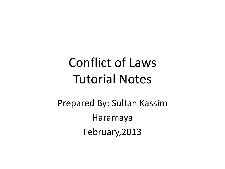# Conflict of Laws Tutorial Notes

Prepared By: Sultan Kassim Haramaya February,2013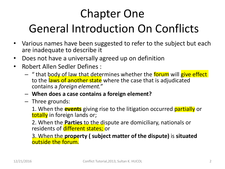# Chapter One General Introduction On Conflicts

- Various names have been suggested to refer to the subject but each are inadequate to describe it
- Does not have a universally agreed up on definition
- Robert Allen Sedler Defines :
	- " that body of law that determines whether the forum will give effect to the laws of another state where the case that is adjudicated contains a *foreign element."*
	- **When does a case contains a foreign element?**
	- Three grounds:

1. When the **events** giving rise to the litigation occurred partially or totally in foreign lands or;

2. When the **Parties** to the dispute are domiciliary, nationals or residents of different states; or

3. When the **property ( subject matter of the dispute)** is **situated**  outside the forum.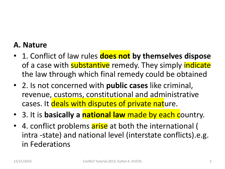#### **A. Nature**

- 1. Conflict of law rules **does not by themselves dispose**  of a case with **substantive** remedy. They simply *indicate* the law through which final remedy could be obtained
- 2. Is not concerned with **public cases** like criminal, revenue, customs, constitutional and administrative cases. It deals with disputes of private nature.
- 3. It is **basically a national law** made by each country.
- 4. conflict problems arise at both the international ( intra -state) and national level (interstate conflicts).e.g. in Federations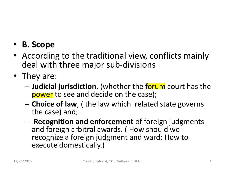### • **B. Scope**

- According to the traditional view, conflicts mainly deal with three major sub-divisions
- They are:
	- **Judicial jurisdiction**, (whether the forum court has the power to see and decide on the case);
	- **Choice of law**, ( the law which related state governs the case) and;
	- **Recognition and enforcement** of foreign judgments and foreign arbitral awards. ( How should we recognize a foreign judgment and ward; How to execute domestically.)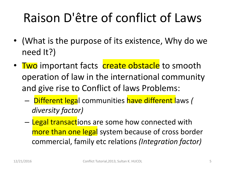# Raison D'être of conflict of Laws

- (What is the purpose of its existence, Why do we need It?)
- Two important facts create obstacle to smooth operation of law in the international community and give rise to Conflict of laws Problems:
	- Different legal communities have different laws *( diversity factor)*
	- Legal transactions are some how connected with more than one legal system because of cross border commercial, family etc relations *(Integration factor)*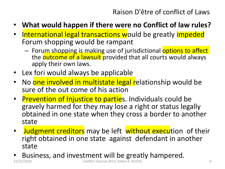- **What would happen if there were no Conflict of law rules?**
- International legal transactions would be greatly impeded Forum shopping would be rampant
	- Forum shopping is making use of jurisdictional options to affect the **outcome of a lawsuit** provided that all courts would always apply their own laws.
- Lex fori would always be applicable
- No one involved in multistate legal relationship would be sure of the out come of his action
- Prevention of Injustice to parties. Individuals could be gravely harmed for they may lose a right or status legally obtained in one state when they cross a border to another state
- Judgment creditors may be left without execution of their right obtained in one state against defendant in another state
- Business, and investment will be greatly hampered.<br>
Conflict Tutorial, 2013, Sultan K. HUCOL 12/21/2012 Conflict Tutorial, 2013, Sultan K. HUCOL 6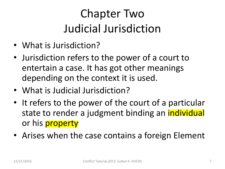# Chapter Two Judicial Jurisdiction

- What is Jurisdiction?
- Jurisdiction refers to the power of a court to entertain a case. It has got other meanings depending on the context it is used.
- What is Judicial Jurisdiction?
- It refers to the power of the court of a particular state to render a judgment binding an *individual* or his **property**
- Arises when the case contains a foreign Element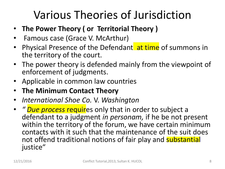# Various Theories of Jurisdiction

- **The Power Theory ( or Territorial Theory )**
- Famous case (Grace V. McArthur)
- Physical Presence of the Defendant at time of summons in the territory of the court.
- The power theory is defended mainly from the viewpoint of enforcement of judgments.
- Applicable in common law countries
- **The Minimum Contact Theory**
- *International Shoe Co.* V. *Washington*
- *" Due process* requires only that in order to subject a defendant to a judgment *in personam,* if he be not present within the territory of the forum, we have certain minimum contacts with it such that the maintenance of the suit does not offend traditional notions of fair play and substantial justice"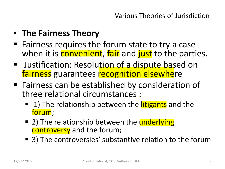- **The Fairness Theory**
- $\blacksquare$  Fairness requires the forum state to try a case when it is **convenient**, fair and just to the parties.
- **Justification: Resolution of a dispute based on** fairness guarantees recognition elsewhere
- Fairness can be established by consideration of three relational circumstances :
	- 1) The relationship between the *litigants* and the forum;
	- 2) The relationship between the underlying controversy and the forum;
	- 3) The controversies' substantive relation to the forum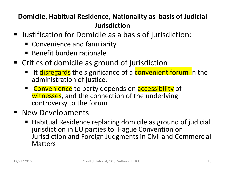#### **Domicile, Habitual Residence, Nationality as basis of Judicial Jurisdiction**

- Justification for Domicile as a basis of jurisdiction:
	- Convenience and familiarity.
	- Benefit burden rationale.
- Critics of domicile as ground of jurisdiction
	- It disregards the significance of a convenient forum in the administration of justice.
	- **Convenience** to party depends on **accessibility** of witnesses, and the connection of the underlying controversy to the forum
- **New Developments** 
	- Habitual Residence replacing domicile as ground of judicial jurisdiction in EU parties to Hague Convention on Jurisdiction and Foreign Judgments in Civil and Commercial Matters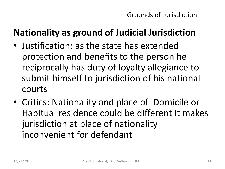### **Nationality as ground of Judicial Jurisdiction**

- Justification: as the state has extended protection and benefits to the person he reciprocally has duty of loyalty allegiance to submit himself to jurisdiction of his national courts
- Critics: Nationality and place of Domicile or Habitual residence could be different it makes jurisdiction at place of nationality inconvenient for defendant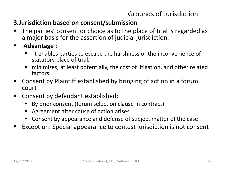#### Grounds of Jurisdiction

#### **3.Jurisdiction based on consent/submission**

- The parties' consent or choice as to the place of trial is regarded as a major basis for the assertion of judicial jurisdiction.
- **Advantage** :
	- $\blacksquare$  It enables parties to escape the harshness or the inconvenience of statutory place of trial.
	- minimizes, at least potentially, the cost of litigation, and other related factors.
- Consent by Plaintiff established by bringing of action in a forum court
- Consent by defendant established:
	- By prior consent (forum selection clause in contract)
	- Agreement after cause of action arises
	- Consent by appearance and defense of subject matter of the case
- Exception: Special appearance to contest jurisdiction is not consent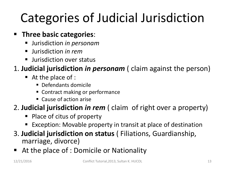# Categories of Judicial Jurisdiction

#### **Fig. 1 Three basic categories:**

- Jurisdiction *in personam*
- Jurisdiction *in rem*
- Ullet Jurisdiction over status

#### 1. **Judicial jurisdiction** *in personam* ( claim against the person)

- At the place of :
	- **Defendants domicile**
	- Contract making or performance
	- Cause of action arise

#### 2. **Judicial jurisdiction** *in rem* ( claim of right over a property)

- Place of citus of property
- Exception: Movable property in transit at place of destination
- 3. **Judicial jurisdiction on status** ( Filiations, Guardianship, marriage, divorce)
- At the place of : Domicile or Nationality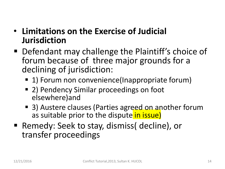### • **Limitations on the Exercise of Judicial Jurisdiction**

- Defendant may challenge the Plaintiff's choice of forum because of three major grounds for a declining of jurisdiction:
	- 1) Forum non convenience(Inappropriate forum)
	- 2) Pendency Similar proceedings on foot elsewhere)and
	- 3) Austere clauses (Parties agreed on another forum as suitable prior to the dispute in issue)
- Remedy: Seek to stay, dismiss( decline), or transfer proceedings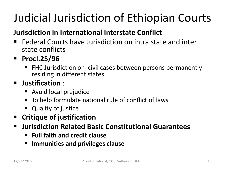# Judicial Jurisdiction of Ethiopian Courts

#### **Jurisdiction in International Interstate Conflict**

- Federal Courts have Jurisdiction on intra state and inter state conflicts
- **Procl.25/96**
	- FHC Jurisdiction on civil cases between persons permanently residing in different states

#### **Justification** :

- Avoid local prejudice
- To help formulate national rule of conflict of laws
- Quality of justice
- **Critique of justification**
- **Jurisdiction Related Basic Constitutional Guarantees**
	- **Full faith and credit clause**
	- **Immunities and privileges clause**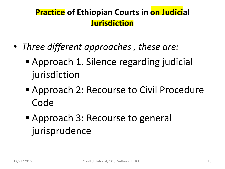### **Practice of Ethiopian Courts in on Judicial Jurisdiction**

- *Three different approaches , these are:*
	- Approach 1. Silence regarding judicial jurisdiction
	- Approach 2: Recourse to Civil Procedure Code
	- Approach 3: Recourse to general jurisprudence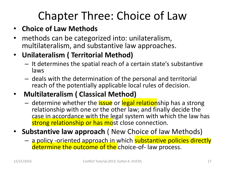# Chapter Three: Choice of Law

#### • **Choice of Law Methods**

• methods can be categorized into: unilateralism, multilateralism, and substantive law approaches.

#### • **Unilateralism ( Territorial Method)**

- It determines the spatial reach of a certain state's substantive laws
- deals with the determination of the personal and territorial reach of the potentially applicable local rules of decision.
- **Multilateralism ( Classical Method)**
	- determine whether the *issue* or legal relationship has a strong relationship with one or the other law; and finally decide the case in accordance with the legal system with which the law has strong relationship or has most close connection.
- **Substantive law approach** ( New Choice of law Methods)
	- a policy -oriented approach in which substantive policies directly determine the outcome of the choice-of- law process.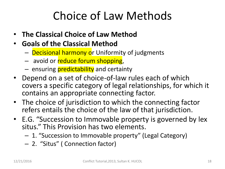# Choice of Law Methods

- **The Classical Choice of Law Method**
- **Goals of the Classical Method**
	- Decisional harmony or Uniformity of judgments
	- avoid or reduce forum shopping,
	- ensuring **predictability** and certainty
- Depend on a set of choice-of-law rules each of which covers a specific category of legal relationships, for which it contains an appropriate connecting factor.
- The choice of jurisdiction to which the connecting factor refers entails the choice of the law of that jurisdiction.
- E.G. "Succession to Immovable property is governed by lex situs." This Provision has two elements.
	- 1. "Succession to Immovable property" (Legal Category)
	- 2. "Situs" ( Connection factor)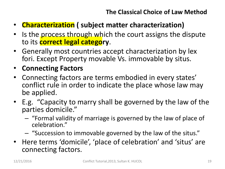- **Characterization ( subject matter characterization)**
- Is the process through which the court assigns the dispute to its **correct legal category**.
- Generally most countries accept characterization by lex fori. Except Property movable Vs. immovable by situs.
- **Connecting Factors**
- Connecting factors are terms embodied in every states' conflict rule in order to indicate the place whose law may be applied.
- E.g. "Capacity to marry shall be governed by the law of the parties domicile."
	- "Formal validity of marriage is governed by the law of place of celebration."
	- "Succession to immovable governed by the law of the situs."
- Here terms 'domicile', 'place of celebration' and 'situs' are connecting factors.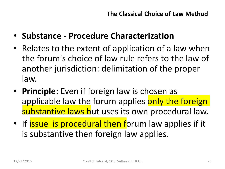- **Substance - Procedure Characterization**
- Relates to the extent of application of a law when the forum's choice of law rule refers to the law of another jurisdiction: delimitation of the proper law.
- **Principle**: Even if foreign law is chosen as applicable law the forum applies only the foreign substantive laws but uses its own procedural law.
- If issue is procedural then forum law applies if it is substantive then foreign law applies.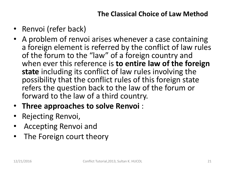- Renvoi (refer back)
- A problem of renvoi arises whenever a case containing a foreign element is referred by the conflict of law rules of the forum to the "law" of a foreign country and when ever this reference is **to entire law of the foreign state** including its conflict of law rules involving the possibility that the conflict rules of this foreign state refers the question back to the law of the forum or forward to the law of a third country.
- **Three approaches to solve Renvoi** :
- Rejecting Renvoi,
- Accepting Renvoi and
- The Foreign court theory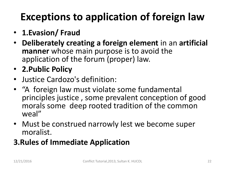# **Exceptions to application of foreign law**

- **1.Evasion/ Fraud**
- **Deliberately creating a foreign element** in an **artificial manner** whose main purpose is to avoid the application of the forum (proper) law.
- **2.Public Policy**
- Justice Cardozo's definition:
- "A foreign law must violate some fundamental principles justice , some prevalent conception of good morals some deep rooted tradition of the common weal"
- Must be construed narrowly lest we become super moralist.

### **3.Rules of Immediate Application**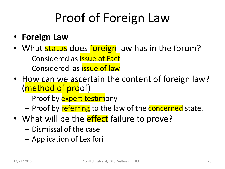# Proof of Foreign Law

- **Foreign Law**
- What status does foreign law has in the forum?
	- Considered as issue of Fact
	- Considered as issue of law
- How can we ascertain the content of foreign law? (method of proof)
	- Proof by **expert testimony**
	- Proof by referring to the law of the **concerned** state.
- What will be the **effect** failure to prove?
	- Dismissal of the case
	- Application of Lex fori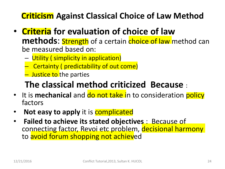### **Criticism Against Classical Choice of Law Method**

- **Criteria for evaluation of choice of law methods:** Strength of a certain choice of law method can be measured based on:
	- Utility ( simplicity in application)
	- Certainty ( predictability of out come)
	- **Justice to the parties**

### **The classical method criticized Because** :

- It is **mechanical** and **do not take in to consideration policy** factors
- **Not easy to apply** it is **complicated**
- **Failed to achieve its stated objectives** : Because of connecting factor, Revoi etc problem, decisional harmony to avoid forum shopping not achieved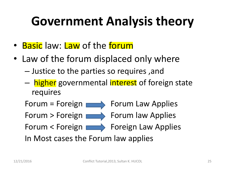# **Government Analysis theory**

- Basic law: Law of the forum
- Law of the forum displaced only where
	- Justice to the parties so requires ,and
	- higher governmental interest of foreign state requires

Forum = Foreign  $\longrightarrow$  Forum Law Applies Forum > Foreign  $\longrightarrow$  Forum law Applies Forum < Foreign **Foreign Law Applies** In Most cases the Forum law applies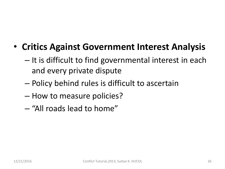- **Critics Against Government Interest Analysis**
	- It is difficult to find governmental interest in each and every private dispute
	- Policy behind rules is difficult to ascertain
	- How to measure policies?
	- "All roads lead to home"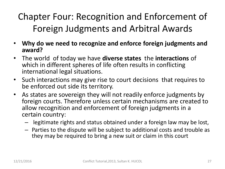Chapter Four: Recognition and Enforcement of Foreign Judgments and Arbitral Awards

- **Why do we need to recognize and enforce foreign judgments and award?**
- The world of today we have **diverse states** the **interactions** of which in different spheres of life often results in conflicting international legal situations.
- Such interactions may give rise to court decisions that requires to be enforced out side its territory.
- As states are sovereign they will not readily enforce judgments by foreign courts. Therefore unless certain mechanisms are created to allow recognition and enforcement of foreign judgments in a certain country:
	- legitimate rights and status obtained under a foreign law may be lost,
	- Parties to the dispute will be subject to additional costs and trouble as they may be required to bring a new suit or claim in this court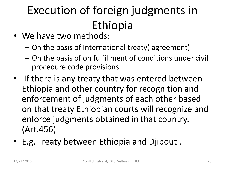# Execution of foreign judgments in Ethiopia

- We have two methods:
	- On the basis of International treaty( agreement)
	- On the basis of on fulfillment of conditions under civil procedure code provisions
- If there is any treaty that was entered between Ethiopia and other country for recognition and enforcement of judgments of each other based on that treaty Ethiopian courts will recognize and enforce judgments obtained in that country. (Art.456)
- E.g. Treaty between Ethiopia and Djibouti.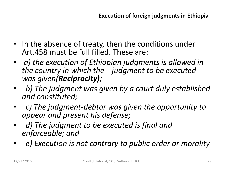- In the absence of treaty, then the conditions under Art.458 must be full filled. These are:
- *a) the execution of Ethiopian judgments is allowed in the country in which the judgment to be executed was given(Reciprocity);*
- • *b) The judgment was given by a court duly established and constituted;*
- • *c) The judgment-debtor was given the opportunity to appear and present his defense;*
- • *d) The judgment to be executed is final and enforceable; and*
- • *e) Execution is not contrary to public order or morality*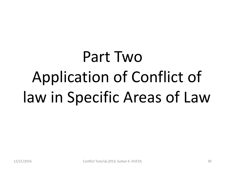# Part Two Application of Conflict of law in Specific Areas of Law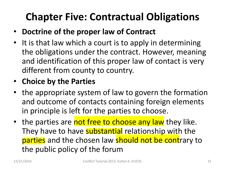## **Chapter Five: Contractual Obligations**

- **Doctrine of the proper law of Contract**
- It is that law which a court is to apply in determining the obligations under the contract. However, meaning and identification of this proper law of contact is very different from county to country.

#### • **Choice by the Parties**

- the appropriate system of law to govern the formation and outcome of contacts containing foreign elements in principle is left for the parties to choose.
- the parties are not free to choose any law they like. They have to have substantial relationship with the parties and the chosen law should not be contrary to the public policy of the forum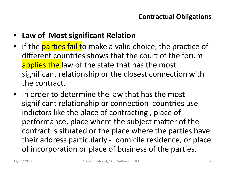- **Law of Most significant Relation**
- if the **parties fail t**o make a valid choice, the practice of different countries shows that the court of the forum applies the law of the state that has the most significant relationship or the closest connection with the contract.
- In order to determine the law that has the most significant relationship or connection countries use indictors like the place of contracting , place of performance, place where the subject matter of the contract is situated or the place where the parties have their address particularly - domicile residence, or place of incorporation or place of business of the parties.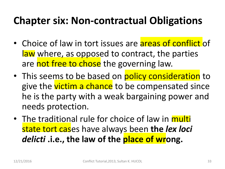### **Chapter six: Non-contractual Obligations**

- Choice of law in tort issues are areas of conflict of law where, as opposed to contract, the parties are not free to chose the governing law.
- This seems to be based on policy consideration to give the victim a chance to be compensated since he is the party with a weak bargaining power and needs protection.
- The traditional rule for choice of law in multi state tort cases have always been **the** *lex loci delicti* **.i.e., the law of the place of wrong.**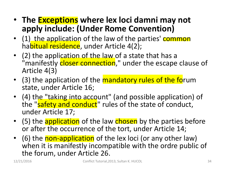- **The Exceptions where lex loci damni may not apply include: (Under Rome Convention)**
- (1) the application of the law of the parties' common habitual residence, under Article 4(2);
- (2) the application of the law of a state that has a "manifestly closer connection," under the escape clause of Article 4(3)
- (3) the application of the mandatory rules of the forum state, under Article 16;
- (4) the "taking into account" (and possible application) of the "safety and conduct" rules of the state of conduct, under Article 17;
- (5) the application of the law chosen by the parties before or after the occurrence of the tort, under Article 14;
- (6) the non-application of the lex loci (or any other law) when it is manifestly incompatible with the ordre public of the forum, under Article 26.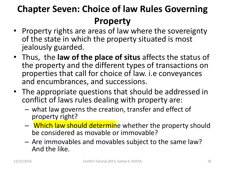### **Chapter Seven: Choice of law Rules Governing Property**

- Property rights are areas of law where the sovereignty of the state in which the property situated is most jealously guarded.
- Thus, the **law of the place of situs** affects the status of the property and the different types of transactions on properties that call for choice of law. i.e conveyances and encumbrances, and successions.
- The appropriate questions that should be addressed in conflict of laws rules dealing with property are:
	- what law governs the creation, transfer and effect of property right?
	- Which law should determine whether the property should be considered as movable or immovable?
	- Are immovables and movables subject to the same law? And the like.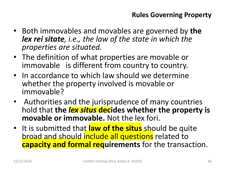- Both immovables and movables are governed by **the**  *lex rei sitate, i.e., the law of the state in which the properties are situated.*
- The definition of what properties are movable or immovable is different from country to country.
- In accordance to which law should we determine whether the property involved is movable or immovable?
- Authorities and the jurisprudence of many countries hold that **the** *lex situs* **decides whether the property is movable or immovable.** Not the lex fori.
- It is submitted that **law of the situs** should be quite broad and should include all questions related to **capacity and formal requirements** for the transaction.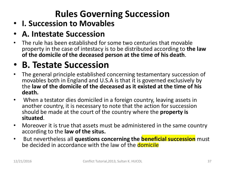### **Rules Governing Succession**

### • **I. Succession to Movables**

#### • **A. Intestate Succession**

• The rule has been established for some two centuries that movable property in the case of intestacy is to be distributed according to **the law of the domicile of the deceased person at the time of his death**.

### • **B. Testate Succession**

- The general principle established concerning testamentary succession of movables both in England and U.S.A is that it is governed exclusively by the **law of the domicile of the deceased as it existed at the time of his death.**
- When a testator dies domiciled in a foreign country, leaving assets in another country, it is necessary to note that the action for succession should be made at the court of the country where the **property is situated**.
- Moreover it is true that assets must be administered in the same country according to the **law of the situs.**
- But nevertheless all **questions concerning the beneficial succession** must be decided in accordance with the law of the domicile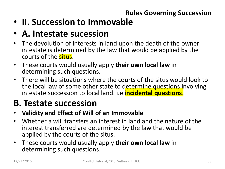#### **Rules Governing Succession**

- **II. Succession to Immovable**
- **A. Intestate sucession**
- The devolution of interests in land upon the death of the owner intestate is determined by the law that would be applied by the courts of the situs.
- These courts would usually apply **their own local law** in determining such questions.
- There will be situations where the courts of the situs would look to the local law of some other state to determine questions involving intestate succession to local land. i.e **incidental questions**.

### **B. Testate succession**

- **Validity and Effect of Will of an Immovable**
- Whether a will transfers an interest in land and the nature of the interest transferred are determined by the law that would be applied by the courts of the situs.
- These courts would usually apply **their own local law** in determining such questions.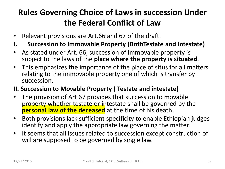### **Rules Governing Choice of Laws in succession Under the Federal Conflict of Law**

- Relevant provisions are Art.66 and 67 of the draft.
- **I. Succession to Immovable Property (BothTestate and Intestate)**
- As stated under Art. 66, succession of immovable property is subject to the laws of the **place where the property is situated**.
- This emphasizes the importance of the place of situs for all matters relating to the immovable property one of which is transfer by succession.

#### **II. Succession to Movable Property ( Testate and intestate)**

- The provision of Art 67 provides that succession to movable property whether testate or intestate shall be governed by the **personal law of the deceased** at the time of his death.
- Both provisions lack sufficient specificity to enable Ethiopian judges identify and apply the appropriate law governing the matter.
- It seems that all issues related to succession except construction of will are supposed to be governed by single law.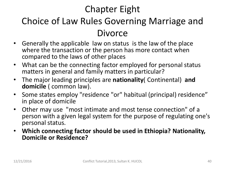### Chapter Eight

### Choice of Law Rules Governing Marriage and Divorce

- Generally the applicable law on status is the law of the place where the transaction or the person has more contact when compared to the laws of other places
- What can be the connecting factor employed for personal status matters in general and family matters in particular?
- The major leading principles are **nationality**( Continental) **and domicile** ( common law).
- Some states employ "residence "or" habitual (principal) residence" in place of domicile
- Other may use "most intimate and most tense connection" of a person with a given legal system for the purpose of regulating one's personal status.
- **Which connecting factor should be used in Ethiopia? Nationality, Domicile or Residence?**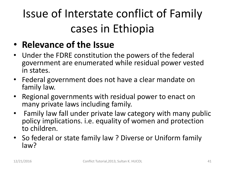# Issue of Interstate conflict of Family cases in Ethiopia

### • **Relevance of the Issue**

- Under the FDRE constitution the powers of the federal government are enumerated while residual power vested in states.
- Federal government does not have a clear mandate on family law.
- Regional governments with residual power to enact on many private laws including family.
- Family law fall under private law category with many public policy implications. i.e. equality of women and protection to children.
- So federal or state family law ? Diverse or Uniform family law?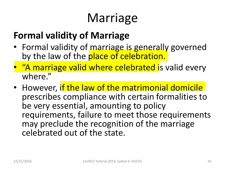# Marriage

### **Formal validity of Marriage**

- Formal validity of marriage is generally governed by the law of the place of celebration.
- "A marriage valid where celebrated is valid every where."
- However, if the law of the matrimonial domicile prescribes compliance with certain formalities to be very essential, amounting to policy requirements, failure to meet those requirements may preclude the recognition of the marriage celebrated out of the state.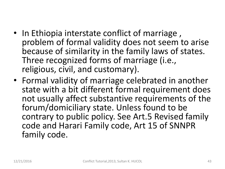- In Ethiopia interstate conflict of marriage, problem of formal validity does not seem to arise because of similarity in the family laws of states. Three recognized forms of marriage (i.e., religious, civil, and customary).
- Formal validity of marriage celebrated in another state with a bit different formal requirement does not usually affect substantive requirements of the forum/domiciliary state. Unless found to be contrary to public policy. See Art.5 Revised family code and Harari Family code, Art 15 of SNNPR family code.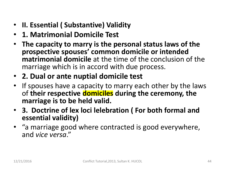- **II. Essential ( Substantive) Validity**
- **1. Matrimonial Domicile Test**
- **The capacity to marry is the personal status laws of the prospective spouses' common domicile or intended matrimonial domicile** at the time of the conclusion of the marriage which is in accord with due process.
- **2. Dual or ante nuptial domicile test**
- If spouses have a capacity to marry each other by the laws of **their respective domiciles during the ceremony, the marriage is to be held valid.**
- **3. Doctrine of lex loci lelebration ( For both formal and essential validity)**
- "a marriage good where contracted is good everywhere, and *vice versa*."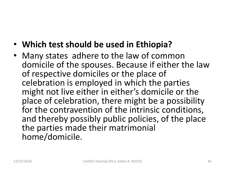- **Which test should be used in Ethiopia?**
- Many states adhere to the law of common domicile of the spouses. Because if either the law of respective domiciles or the place of celebration is employed in which the parties might not live either in either's domicile or the place of celebration, there might be a possibility for the contravention of the intrinsic conditions, and thereby possibly public policies, of the place the parties made their matrimonial home/domicile.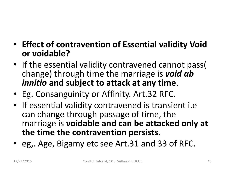- **Effect of contravention of Essential validity Void or voidable?**
- If the essential validity contravened cannot pass( change) through time the marriage is *void ab innitio* **and subject to attack at any time**.
- Eg. Consanguinity or Affinity. Art.32 RFC.
- If essential validity contravened is transient i.e can change through passage of time, the marriage is **voidable and can be attacked only at the time the contravention persists**.
- eg,. Age, Bigamy etc see Art.31 and 33 of RFC.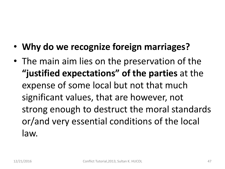- **Why do we recognize foreign marriages?**
- The main aim lies on the preservation of the **"justified expectations" of the parties** at the expense of some local but not that much significant values, that are however, not strong enough to destruct the moral standards or/and very essential conditions of the local law.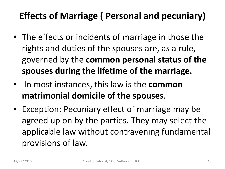### **Effects of Marriage ( Personal and pecuniary)**

- The effects or incidents of marriage in those the rights and duties of the spouses are, as a rule, governed by the **common personal status of the spouses during the lifetime of the marriage.**
- In most instances, this law is the **common matrimonial domicile of the spouses**.
- Exception: Pecuniary effect of marriage may be agreed up on by the parties. They may select the applicable law without contravening fundamental provisions of law.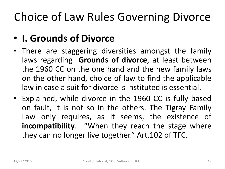# Choice of Law Rules Governing Divorce

### • **I. Grounds of Divorce**

- There are staggering diversities amongst the family laws regarding **Grounds of divorce**, at least between the 1960 CC on the one hand and the new family laws on the other hand, choice of law to find the applicable law in case a suit for divorce is instituted is essential.
- Explained, while divorce in the 1960 CC is fully based on fault, it is not so in the others. The Tigray Family Law only requires, as it seems, the existence of **incompatibility**. "When they reach the stage where they can no longer live together." Art.102 of TFC.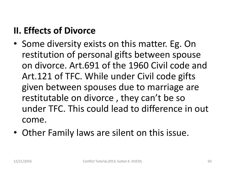### **II. Effects of Divorce**

- Some diversity exists on this matter. Eg. On restitution of personal gifts between spouse on divorce. Art.691 of the 1960 Civil code and Art.121 of TFC. While under Civil code gifts given between spouses due to marriage are restitutable on divorce , they can't be so under TFC. This could lead to difference in out come.
- Other Family laws are silent on this issue.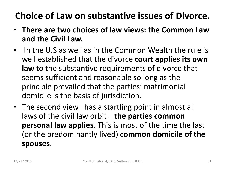### **Choice of Law on substantive issues of Divorce.**

- **There are two choices of law views: the Common Law and the Civil Law.**
- In the U.S as well as in the Common Wealth the rule is well established that the divorce **court applies its own law** to the substantive requirements of divorce that seems sufficient and reasonable so long as the principle prevailed that the parties' matrimonial domicile is the basis of jurisdiction.
- The second view has a startling point in almost all laws of the civil law orbit -the parties common **personal law applies**. This is most of the time the last (or the predominantly lived) **common domicile of the spouses**.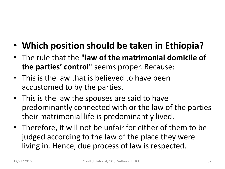- **Which position should be taken in Ethiopia?**
- The rule that the **"law of the matrimonial domicile of the parties' control**" seems proper. Because:
- This is the law that is believed to have been accustomed to by the parties.
- This is the law the spouses are said to have predominantly connected with or the law of the parties their matrimonial life is predominantly lived.
- Therefore, it will not be unfair for either of them to be judged according to the law of the place they were living in. Hence, due process of law is respected.